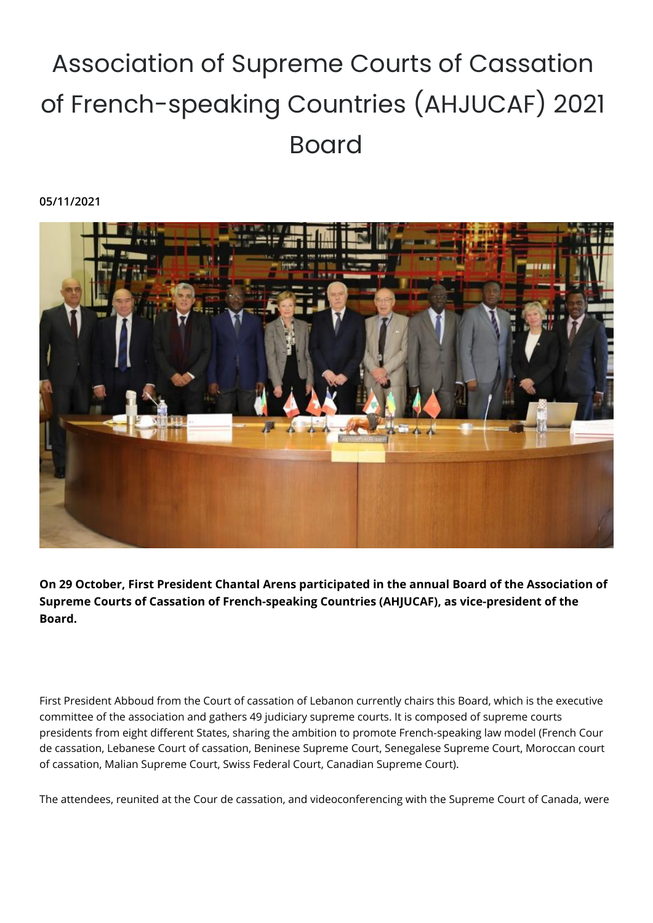## Association of Supreme Courts of Cassation of French-speaking Countries (AHJUCAF) 2021 Board

**05/11/2021**



**On 29 October, First President Chantal Arens participated in the annual Board of the Association of Supreme Courts of Cassation of French-speaking Countries (AHJUCAF), as vice-president of the Board.**

First President Abboud from the Court of cassation of Lebanon currently chairs this Board, which is the executive committee of the association and gathers 49 judiciary supreme courts. It is composed of supreme courts presidents from eight different States, sharing the ambition to promote French-speaking law model (French Cour de cassation, Lebanese Court of cassation, Beninese Supreme Court, Senegalese Supreme Court, Moroccan court of cassation, Malian Supreme Court, Swiss Federal Court, Canadian Supreme Court).

The attendees, reunited at the Cour de cassation, and videoconferencing with the Supreme Court of Canada, were